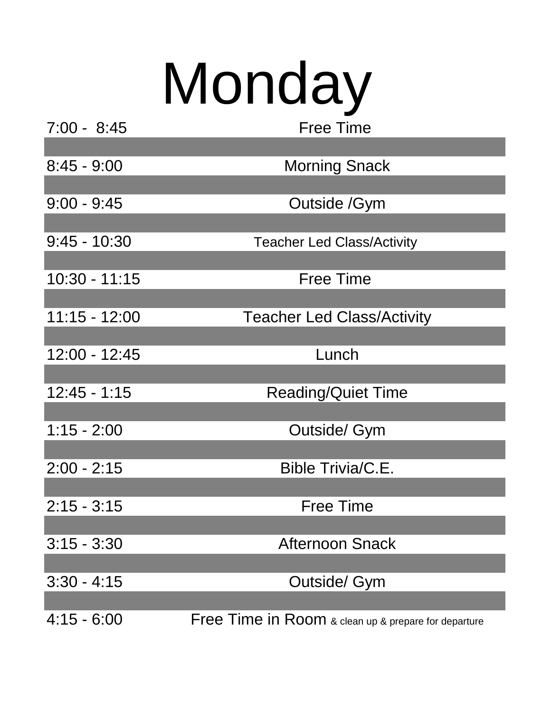## Monday

| $7:00 - 8:45$   | <b>Free Time</b>                                                    |
|-----------------|---------------------------------------------------------------------|
|                 |                                                                     |
| $8:45 - 9:00$   | <b>Morning Snack</b>                                                |
|                 |                                                                     |
| $9:00 - 9:45$   | Outside /Gym                                                        |
|                 |                                                                     |
| $9:45 - 10:30$  | <b>Teacher Led Class/Activity</b>                                   |
|                 |                                                                     |
| $10:30 - 11:15$ | <b>Free Time</b>                                                    |
| $11:15 - 12:00$ | <b>Teacher Led Class/Activity</b>                                   |
|                 |                                                                     |
| 12:00 - 12:45   | Lunch                                                               |
|                 |                                                                     |
| $12:45 - 1:15$  | <b>Reading/Quiet Time</b>                                           |
|                 |                                                                     |
| $1:15 - 2:00$   | Outside/ Gym                                                        |
|                 |                                                                     |
| $2:00 - 2:15$   | Bible Trivia/C.E.                                                   |
|                 |                                                                     |
| $2:15 - 3:15$   | <b>Free Time</b>                                                    |
|                 |                                                                     |
| $3:15 - 3:30$   | <b>Afternoon Snack</b>                                              |
| $3:30 - 4:15$   | Outside/ Gym                                                        |
|                 |                                                                     |
| $4:15 - 6:00$   | <b>Free Time in Room &amp; clean up &amp; prepare for departure</b> |
|                 |                                                                     |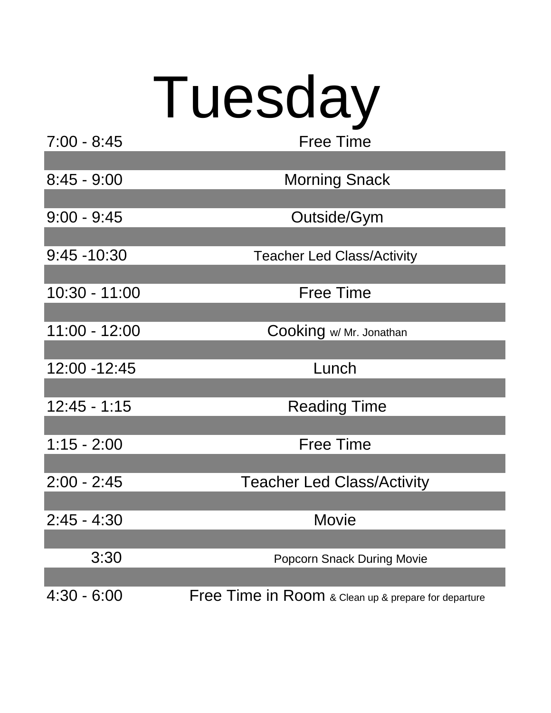## Tuesday Free Time

| $7:00 - 8:45$  | <b>Free Time</b>                                     |
|----------------|------------------------------------------------------|
|                |                                                      |
| $8:45 - 9:00$  | <b>Morning Snack</b>                                 |
|                |                                                      |
| $9:00 - 9:45$  | Outside/Gym                                          |
|                |                                                      |
| $9:45 - 10:30$ | <b>Teacher Led Class/Activity</b>                    |
|                |                                                      |
| 10:30 - 11:00  | <b>Free Time</b>                                     |
|                |                                                      |
| 11:00 - 12:00  | Cooking w/ Mr. Jonathan                              |
|                |                                                      |
| 12:00 - 12:45  | Lunch                                                |
| $12:45 - 1:15$ |                                                      |
|                | <b>Reading Time</b>                                  |
| $1:15 - 2:00$  | <b>Free Time</b>                                     |
|                |                                                      |
| $2:00 - 2:45$  | <b>Teacher Led Class/Activity</b>                    |
|                |                                                      |
| $2:45 - 4:30$  | Movie                                                |
|                |                                                      |
| 3:30           | <b>Popcorn Snack During Movie</b>                    |
|                |                                                      |
| $4:30 - 6:00$  | Free Time in Room & Clean up & prepare for departure |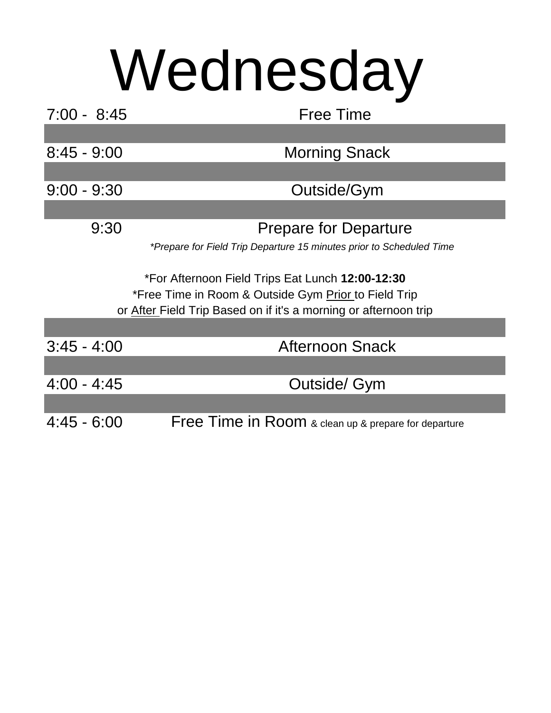## Wednesday

| $7:00 - 8:45$ | <b>Free Time</b>                                                                                                         |
|---------------|--------------------------------------------------------------------------------------------------------------------------|
|               |                                                                                                                          |
| $8:45 - 9:00$ | <b>Morning Snack</b>                                                                                                     |
|               |                                                                                                                          |
| $9:00 - 9:30$ | Outside/Gym                                                                                                              |
|               |                                                                                                                          |
| 9:30          | <b>Prepare for Departure</b>                                                                                             |
|               | *Prepare for Field Trip Departure 15 minutes prior to Scheduled Time                                                     |
|               |                                                                                                                          |
|               |                                                                                                                          |
|               | *For Afternoon Field Trips Eat Lunch 12:00-12:30                                                                         |
|               | *Free Time in Room & Outside Gym Prior to Field Trip<br>or After Field Trip Based on if it's a morning or afternoon trip |
|               |                                                                                                                          |
| $3:45 - 4:00$ | <b>Afternoon Snack</b>                                                                                                   |
|               |                                                                                                                          |
| $4:00 - 4:45$ | <b>Outside/ Gym</b>                                                                                                      |
|               |                                                                                                                          |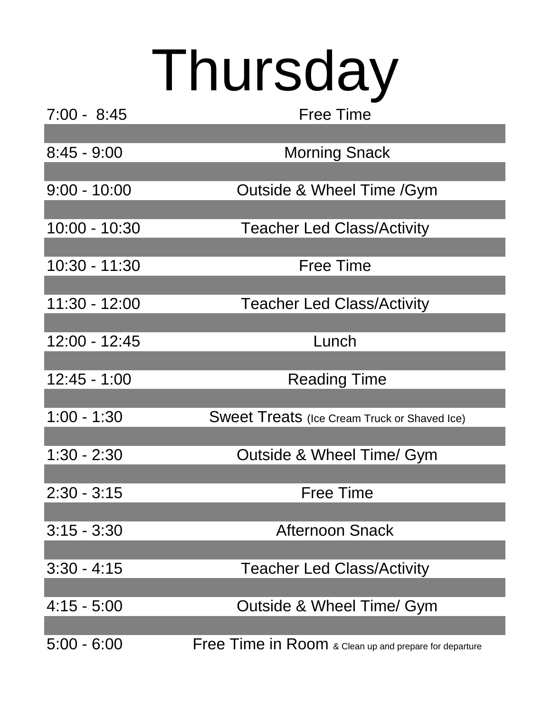## Thursday

| $7:00 - 8:45$  | <b>Free Time</b>                                       |
|----------------|--------------------------------------------------------|
|                |                                                        |
| $8:45 - 9:00$  | <b>Morning Snack</b>                                   |
|                |                                                        |
| $9:00 - 10:00$ | Outside & Wheel Time /Gym                              |
|                |                                                        |
| 10:00 - 10:30  | <b>Teacher Led Class/Activity</b>                      |
|                |                                                        |
| 10:30 - 11:30  | <b>Free Time</b>                                       |
|                |                                                        |
| 11:30 - 12:00  | <b>Teacher Led Class/Activity</b>                      |
| 12:00 - 12:45  | Lunch                                                  |
|                |                                                        |
| 12:45 - 1:00   | <b>Reading Time</b>                                    |
|                |                                                        |
| $1:00 - 1:30$  | <b>Sweet Treats</b> (Ice Cream Truck or Shaved Ice)    |
|                |                                                        |
| 1:30 - 2:30    | Outside & Wheel Time/ Gym                              |
|                |                                                        |
| $2:30 - 3:15$  | Free Time                                              |
|                |                                                        |
| $3:15 - 3:30$  | <b>Afternoon Snack</b>                                 |
|                |                                                        |
| $3:30 - 4:15$  | <b>Teacher Led Class/Activity</b>                      |
|                |                                                        |
| $4:15 - 5:00$  | Outside & Wheel Time/ Gym                              |
|                |                                                        |
| $5:00 - 6:00$  | Free Time in Room & Clean up and prepare for departure |